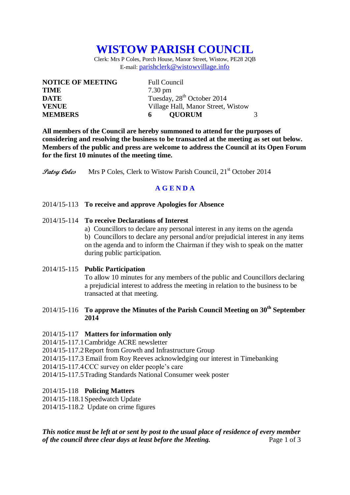# **WISTOW PARISH COUNCIL**

Clerk: Mrs P Coles, Porch House, Manor Street, Wistow, PE28 2QB E-mail: [parishclerk@wistowvillage.info](mailto:parishclerk@wistowvillage.info)

| <b>NOTICE OF MEETING</b> | <b>Full Council</b>                    |  |
|--------------------------|----------------------------------------|--|
| <b>TIME</b>              | $7.30 \text{ pm}$                      |  |
| <b>DATE</b>              | Tuesday, 28 <sup>th</sup> October 2014 |  |
| <b>VENUE</b>             | Village Hall, Manor Street, Wistow     |  |
| <b>MEMBERS</b>           | <b>OUORUM</b><br>6                     |  |

**All members of the Council are hereby summoned to attend for the purposes of considering and resolving the business to be transacted at the meeting as set out below. Members of the public and press are welcome to address the Council at its Open Forum for the first 10 minutes of the meeting time.**

**Patsy Coles** Mrs P Coles, Clerk to Wistow Parish Council, 21<sup>st</sup> October 2014

# **A G E N D A**

### 2014/15-113 **To receive and approve Apologies for Absence**

### 2014/15-114 **To receive Declarations of Interest**

a) Councillors to declare any personal interest in any items on the agenda b) Councillors to declare any personal and/or prejudicial interest in any items on the agenda and to inform the Chairman if they wish to speak on the matter during public participation.

### 2014/15-115 **Public Participation**

To allow 10 minutes for any members of the public and Councillors declaring a prejudicial interest to address the meeting in relation to the business to be transacted at that meeting.

# 2014/15-116 **To approve the Minutes of the Parish Council Meeting on 30th September 2014**

#### 2014/15-117 **Matters for information only**

2014/15-117.1Cambridge ACRE newsletter

2014/15-117.2Report from Growth and Infrastructure Group

- 2014/15-117.3 Email from Roy Reeves acknowledging our interest in Timebanking
- 2014/15-117.4CCC survey on elder people's care
- 2014/15-117.5Trading Standards National Consumer week poster

### 2014/15-118 **Policing Matters**

2014/15-118.1Speedwatch Update

2014/15-118.2 Update on crime figures

*This notice must be left at or sent by post to the usual place of residence of every member of the council three clear days at least before the Meeting.* Page 1 of 3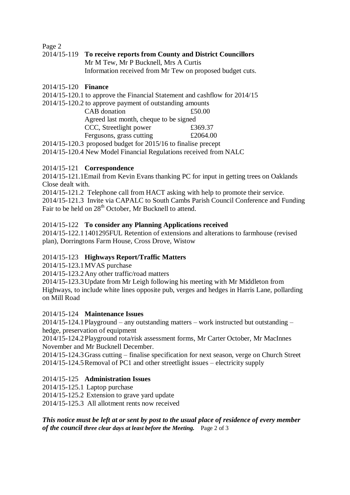Page 2

# 2014/15-119 **To receive reports from County and District Councillors** Mr M Tew, Mr P Bucknell, Mrs A Curtis Information received from Mr Tew on proposed budget cuts.

### 2014/15-120 **Finance**

2014/15-120.1 to approve the Financial Statement and cashflow for 2014/15

| 2014/15-120.2 to approve payment of outstanding amounts |          |
|---------------------------------------------------------|----------|
| CAB donation                                            | £50.00   |
| Agreed last month, cheque to be signed                  |          |
| CCC, Streetlight power                                  | £369.37  |
| Fergusons, grass cutting                                | £2064.00 |

2014/15-120.3 proposed budget for 2015/16 to finalise precept

2014/15-120.4 New Model Financial Regulations received from NALC

# 2014/15-121 **Correspondence**

2014/15-121.1Email from Kevin Evans thanking PC for input in getting trees on Oaklands Close dealt with.

2014/15-121.2 Telephone call from HACT asking with help to promote their service. 2014/15-121.3 Invite via CAPALC to South Cambs Parish Council Conference and Funding Fair to be held on 28<sup>th</sup> October, Mr Bucknell to attend.

# 2014/15-122 **To consider any Planning Applications received**

2014/15-122.11401295FUL Retention of extensions and alterations to farmhouse (revised plan), Dorringtons Farm House, Cross Drove, Wistow

# 2014/15-123 **Highways Report/Traffic Matters**

2014/15-123.1MVAS purchase

2014/15-123.2Any other traffic/road matters

2014/15-123.3Update from Mr Leigh following his meeting with Mr Middleton from Highways, to include white lines opposite pub, verges and hedges in Harris Lane, pollarding on Mill Road

# 2014/15-124 **Maintenance Issues**

2014/15-124.1Playground – any outstanding matters – work instructed but outstanding – hedge, preservation of equipment

2014/15-124.2Playground rota/risk assessment forms, Mr Carter October, Mr MacInnes November and Mr Bucknell December.

2014/15-124.3Grass cutting – finalise specification for next season, verge on Church Street 2014/15-124.5Removal of PC1 and other streetlight issues – electricity supply

# 2014/15-125 **Administration Issues**

2014/15-125.1 Laptop purchase

2014/15-125.2 Extension to grave yard update

2014/15-125.3 All allotment rents now received

*This notice must be left at or sent by post to the usual place of residence of every member of the council three clear days at least before the Meeting.* Page 2 of 3